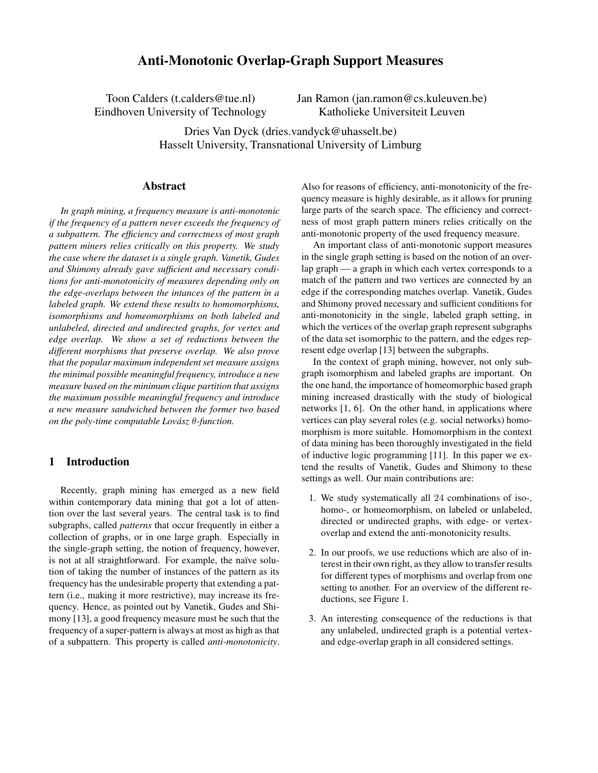# **Anti-Monotonic Overlap-Graph Support Measures**

Toon Calders (t.calders@tue.nl) Eindhoven University of Technology Jan Ramon (jan.ramon@cs.kuleuven.be) Katholieke Universiteit Leuven

Dries Van Dyck (dries.vandyck@uhasselt.be) Hasselt University, Transnational University of Limburg

#### **Abstract**

*In graph mining, a frequency measure is anti-monotonic if the frequency of a pattern never exceeds the frequency of a subpattern. The efficiency and correctness of most graph pattern miners relies critically on this property. We study the case where the dataset is a single graph. Vanetik, Gudes and Shimony already gave sufficient and necessary conditions for anti-monotonicity of measures depending only on the edge-overlaps between the intances of the pattern in a labeled graph. We extend these results to homomorphisms, isomorphisms and homeomorphisms on both labeled and unlabeled, directed and undirected graphs, for vertex and edge overlap. We show a set of reductions between the different morphisms that preserve overlap. We also prove that the popular maximum independent set measure assigns the minimal possible meaningful frequency, introduce a new measure based on the minimum clique partition that assigns the maximum possible meaningful frequency and introduce a new measure sandwiched between the former two based on the poly-time computable*  $Lov$ *ász θ-function.* 

## **1 Introduction**

Recently, graph mining has emerged as a new field within contemporary data mining that got a lot of attention over the last several years. The central task is to find subgraphs, called *patterns* that occur frequently in either a collection of graphs, or in one large graph. Especially in the single-graph setting, the notion of frequency, however, is not at all straightforward. For example, the naïve solution of taking the number of instances of the pattern as its frequency has the undesirable property that extending a pattern (i.e., making it more restrictive), may increase its frequency. Hence, as pointed out by Vanetik, Gudes and Shimony [13], a good frequency measure must be such that the frequency of a super-pattern is always at most as high as that of a subpattern. This property is called *anti-monotonicity*.

Also for reasons of efficiency, anti-monotonicity of the frequency measure is highly desirable, as it allows for pruning large parts of the search space. The efficiency and correctness of most graph pattern miners relies critically on the anti-monotonic property of the used frequency measure.

An important class of anti-monotonic support measures in the single graph setting is based on the notion of an overlap graph — a graph in which each vertex corresponds to a match of the pattern and two vertices are connected by an edge if the corresponding matches overlap. Vanetik, Gudes and Shimony proved necessary and sufficient conditions for anti-monotonicity in the single, labeled graph setting, in which the vertices of the overlap graph represent subgraphs of the data set isomorphic to the pattern, and the edges represent edge overlap [13] between the subgraphs.

In the context of graph mining, however, not only subgraph isomorphism and labeled graphs are important. On the one hand, the importance of homeomorphic based graph mining increased drastically with the study of biological networks [1, 6]. On the other hand, in applications where vertices can play several roles (e.g. social networks) homomorphism is more suitable. Homomorphism in the context of data mining has been thoroughly investigated in the field of inductive logic programming [11]. In this paper we extend the results of Vanetik, Gudes and Shimony to these settings as well. Our main contributions are:

- 1. We study systematically all 24 combinations of iso-, homo-, or homeomorphism, on labeled or unlabeled, directed or undirected graphs, with edge- or vertexoverlap and extend the anti-monotonicity results.
- 2. In our proofs, we use reductions which are also of interest in their own right, as they allow to transfer results for different types of morphisms and overlap from one setting to another. For an overview of the different reductions, see Figure 1.
- 3. An interesting consequence of the reductions is that any unlabeled, undirected graph is a potential vertexand edge-overlap graph in all considered settings.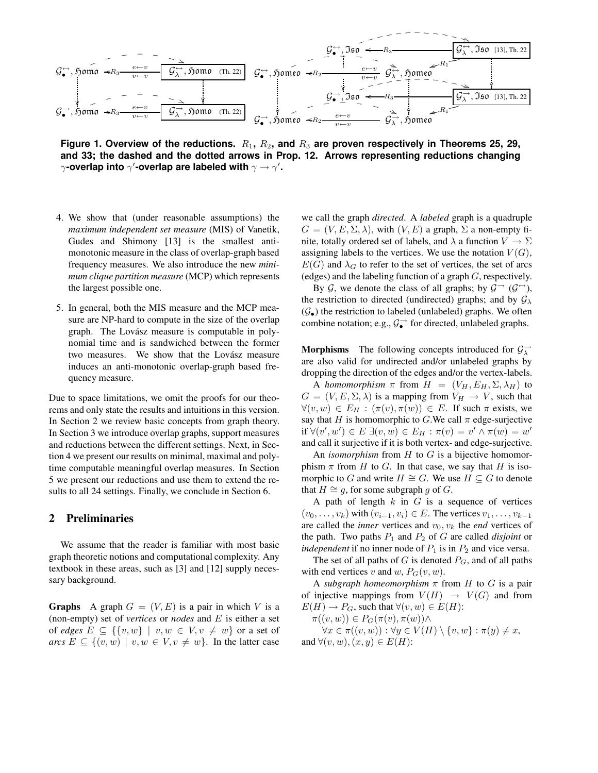

**Figure 1. Overview of the reductions.** R1**,** R2**, and** R<sup>3</sup> **are proven respectively in Theorems 25, 29, and 33; the dashed and the dotted arrows in Prop. 12. Arrows representing reductions changing**  $\gamma$ -overlap into  $\gamma$ '-overlap are labeled with  $\gamma \to \gamma'$ .

- 4. We show that (under reasonable assumptions) the *maximum independent set measure* (MIS) of Vanetik, Gudes and Shimony [13] is the smallest antimonotonic measure in the class of overlap-graph based frequency measures. We also introduce the new *minimum clique partition measure* (MCP) which represents the largest possible one.
- 5. In general, both the MIS measure and the MCP measure are NP-hard to compute in the size of the overlap graph. The Lovász measure is computable in polynomial time and is sandwiched between the former two measures. We show that the Lovász measure induces an anti-monotonic overlap-graph based frequency measure.

Due to space limitations, we omit the proofs for our theorems and only state the results and intuitions in this version. In Section 2 we review basic concepts from graph theory. In Section 3 we introduce overlap graphs, support measures and reductions between the different settings. Next, in Section 4 we present our results on minimal, maximal and polytime computable meaningful overlap measures. In Section 5 we present our reductions and use them to extend the results to all 24 settings. Finally, we conclude in Section 6.

#### **2 Preliminaries**

We assume that the reader is familiar with most basic graph theoretic notions and computational complexity. Any textbook in these areas, such as [3] and [12] supply necessary background.

**Graphs** A graph  $G = (V, E)$  is a pair in which V is a (non-empty) set of *vertices* or *nodes* and E is either a set of *edges*  $E \subseteq \{\{v, w\} \mid v, w \in V, v \neq w\}$  or a set of *arcs*  $E \subseteq \{(v, w) \mid v, w \in V, v \neq w\}$ . In the latter case

we call the graph *directed*. A *labeled* graph is a quadruple  $G = (V, E, \Sigma, \lambda)$ , with  $(V, E)$  a graph,  $\Sigma$  a non-empty finite, totally ordered set of labels, and  $\lambda$  a function  $V \to \Sigma$ assigning labels to the vertices. We use the notation  $V(G)$ ,  $E(G)$  and  $\lambda_G$  to refer to the set of vertices, the set of arcs (edges) and the labeling function of a graph G, respectively.

By G, we denote the class of all graphs; by  $\mathcal{G} \rightarrow (\mathcal{G} \rightarrow)$ , the restriction to directed (undirected) graphs; and by  $\mathcal{G}_{\lambda}$  $(\mathcal{G}_{\bullet})$  the restriction to labeled (unlabeled) graphs. We often combine notation; e.g.,  $\mathcal{G}_{\bullet}^{\rightarrow}$  for directed, unlabeled graphs.

**Morphisms** The following concepts introduced for  $\mathcal{G}^{\rightarrow}_{\lambda}$ are also valid for undirected and/or unlabeled graphs by dropping the direction of the edges and/or the vertex-labels.

A *homomorphism*  $\pi$  from  $H = (V_H, E_H, \Sigma, \lambda_H)$  to  $G = (V, E, \Sigma, \lambda)$  is a mapping from  $V_H \rightarrow V$ , such that  $\forall (v, w) \in E_H : (\pi(v), \pi(w)) \in E$ . If such  $\pi$  exists, we say that H is homomorphic to G.We call  $\pi$  edge-surjective if ∀(v', w') ∈ E ∃(v, w) ∈ E<sub>H</sub> : π(v) = v' ∧ π(w) = w' and call it surjective if it is both vertex- and edge-surjective.

An *isomorphism* from H to G is a bijective homomorphism  $\pi$  from H to G. In that case, we say that H is isomorphic to G and write  $H \cong G$ . We use  $H \subseteq G$  to denote that  $H \cong g$ , for some subgraph g of G.

A path of length  $k$  in  $G$  is a sequence of vertices  $(v_0, \ldots, v_k)$  with  $(v_{i-1}, v_i) \in E$ . The vertices  $v_1, \ldots, v_{k-1}$ are called the *inner* vertices and  $v_0$ ,  $v_k$  the *end* vertices of the path. Two paths  $P_1$  and  $P_2$  of  $G$  are called *disjoint* or *independent* if no inner node of  $P_1$  is in  $P_2$  and vice versa.

The set of all paths of G is denoted  $P_G$ , and of all paths with end vertices v and w,  $P_G(v, w)$ .

A *subgraph homeomorphism* π from H to G is a pair of injective mappings from  $V(H) \rightarrow V(G)$  and from  $E(H) \to P_G$ , such that  $\forall (v, w) \in E(H)$ :

 $\pi((v, w)) \in P_G(\pi(v), \pi(w)) \wedge$ 

 $\forall x \in \pi((v, w)) : \forall y \in V(H) \setminus \{v, w\} : \pi(y) \neq x,$ and  $\forall (v, w), (x, y) \in E(H)$ :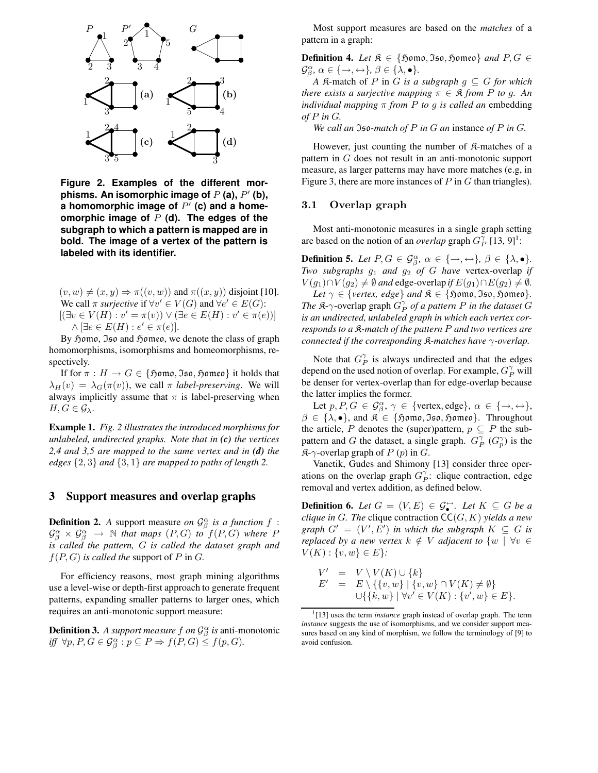

**Figure 2. Examples of the different morphisms. An isomorphic image of** P **(a),** P 0 **(b), a homomorphic image of** P 0 **(c) and a homeomorphic image of** P **(d). The edges of the subgraph to which a pattern is mapped are in bold. The image of a vertex of the pattern is labeled with its identifier.**

 $(v, w) \neq (x, y) \Rightarrow \pi((v, w))$  and  $\pi((x, y))$  disjoint [10]. We call  $\pi$  *surjective* if  $\forall v' \in V(G)$  and  $\forall e' \in E(G)$ :  $[(\exists v \in V(H) : v' = \pi(v)) \vee (\exists e \in E(H) : v' \in \pi(e))]$  $\wedge \left[ \exists e \in E(H) : e' \in \pi(e) \right].$ 

By  $\mathfrak H$ omo, Jso and  $\mathfrak H$ omeo, we denote the class of graph homomorphisms, isomorphisms and homeomorphisms, respectively.

If for  $\pi : H \to G \in \{\mathfrak{Hom}\nolimits$ ,  $\mathfrak{Iso}, \mathfrak{Hom}\nolimits$  it holds that  $\lambda_H(v) = \lambda_G(\pi(v))$ , we call  $\pi$  *label-preserving*. We will always implicitly assume that  $\pi$  is label-preserving when  $H, G \in \mathcal{G}_{\lambda}$ .

**Example 1.** *Fig. 2 illustrates the introduced morphisms for unlabeled, undirected graphs. Note that in (c) the vertices 2,4 and 3,5 are mapped to the same vertex and in (d) the edges*  $\{2,3\}$  *and*  $\{3,1\}$  *are mapped to paths of length* 2.

#### **3 Support measures and overlap graphs**

**Definition 2.** *A* support measure *on*  $\mathcal{G}_{\beta}^{\alpha}$  *is a function*  $f$  :  $\mathcal{G}_{\beta}^{\alpha} \times \mathcal{G}_{\beta}^{\alpha} \rightarrow \mathbb{N}$  that maps  $(P,G)$  to  $f(P,G)$  where  $P$ *is called the pattern,* G *is called the dataset graph and*  $f(P, G)$  *is called the support of P in G.* 

For efficiency reasons, most graph mining algorithms use a level-wise or depth-first approach to generate frequent patterns, expanding smaller patterns to larger ones, which requires an anti-monotonic support measure:

**Definition 3.** *A support measure*  $f$  *on*  $\mathcal{G}_{\beta}^{\alpha}$  *is* anti-monotonic *iff*  $\forall p, P, G \in \mathcal{G}_{\beta}^{\alpha} : p \subseteq P \Rightarrow f(P, G) \leq f(p, G)$ .

Most support measures are based on the *matches* of a pattern in a graph:

**Definition 4.** *Let*  $\mathfrak{K} \in \{ \mathfrak{Hom} \infty, \mathfrak{Iso}, \mathfrak{Hom} \infty \}$  *and*  $P, G \in$  $\mathcal{G}_{\beta}^{\alpha}, \alpha \in \{\rightarrow, \leftrightarrow\}, \beta \in \{\lambda, \bullet\}.$ 

*A*  $\mathcal{R}$ -match of P in G *is a subgraph*  $q \subseteq G$  *for which there exists a surjective mapping*  $\pi \in \mathbb{R}$  *from P to g. An individual mapping*  $\pi$  *from P to g is called an* embedding *of* P *in* G*.*

*We call an* Iso*-match of* P *in* G *an* instance *of* P *in* G*.*

However, just counting the number of  $\mathcal{R}$ -matches of a pattern in G does not result in an anti-monotonic support measure, as larger patterns may have more matches (e.g, in Figure 3, there are more instances of  $P$  in  $G$  than triangles).

#### 3.1 Overlap graph

Most anti-monotonic measures in a single graph setting are based on the notion of an *overlap* graph  $G_P^{\gamma}$  [13, 9]<sup>1</sup>:

**Definition 5.** *Let*  $P, G \in \mathcal{G}_{\beta}^{\alpha}, \alpha \in \{\rightarrow, \leftrightarrow\}, \beta \in \{\lambda, \bullet\}.$ *Two subgraphs*  $g_1$  *and*  $g_2$  *of*  $G$  *have* vertex-overlap *if*  $V(g_1) \cap V(g_2) \neq \emptyset$  *and* edge-overlap *if*  $E(g_1) \cap E(g_2) \neq \emptyset$ *.*  $Let \gamma \in \{vertex, edge\}$  *and*  $\mathfrak{K} \in \{5,0,0,0\}$ ,  $\mathfrak{Hom}(\mathfrak{S})$ . *The*  $\mathbb{R}$ - $\gamma$ -overlap graph  $G_P^{\gamma}$  *of a pattern P in the dataset*  $G$ *is an undirected, unlabeled graph in which each vertex corresponds to a* K*-match of the pattern* P *and two vertices are connected if the corresponding* K*-matches have* γ*-overlap.*

Note that  $G_P^{\gamma}$  is always undirected and that the edges depend on the used notion of overlap. For example,  $G_P^{\gamma}$  will be denser for vertex-overlap than for edge-overlap because the latter implies the former.

Let  $p, P, G \in \mathcal{G}_{\beta}^{\alpha}, \gamma \in \{\text{vertex}, \text{edge}\}, \alpha \in \{\rightarrow, \leftrightarrow\},\$  $\beta \in \{\lambda, \bullet\}$ , and  $\mathfrak{K} \in \{\mathfrak{Hom}\mathfrak{o}, \mathfrak{Iso}, \mathfrak{Hom}\mathfrak{eo}\}\$ . Throughout the article, P denotes the (super)pattern,  $p \subseteq P$  the subpattern and G the dataset, a single graph.  $G_P^{\gamma}(G_p^{\gamma})$  is the  $\mathfrak{K}\text{-}\gamma$ -overlap graph of P (p) in G.

Vanetik, Gudes and Shimony [13] consider three operations on the overlap graph  $G_p^{\gamma}$ : clique contraction, edge removal and vertex addition, as defined below.

**Definition 6.** *Let*  $G = (V, E) \in \mathcal{G}_{\bullet}^{\leftrightarrow}$ . *Let*  $K \subseteq G$  *be a clique in* G. The clique contraction  $\mathsf{CC}(G, K)$  *yields a new*  $graph G' = (V', E')$  *in which the subgraph*  $K \subseteq G$  *is replaced by a new vertex*  $k \notin V$  *adjacent to*  $\{w \mid \forall v \in V\}$  $V(K): \{v, w\} \in E$ :

$$
V' = V \setminus V(K) \cup \{k\}
$$
  
\n
$$
E' = E \setminus \{\{v, w\} \mid \{v, w\} \cap V(K) \neq \emptyset\}
$$
  
\n
$$
\cup \{\{k, w\} \mid \forall v' \in V(K) : \{v', w\} \in E\}.
$$

<sup>&</sup>lt;sup>1</sup>[13] uses the term *instance* graph instead of overlap graph. The term *instance* suggests the use of isomorphisms, and we consider support measures based on any kind of morphism, we follow the terminology of [9] to avoid confusion.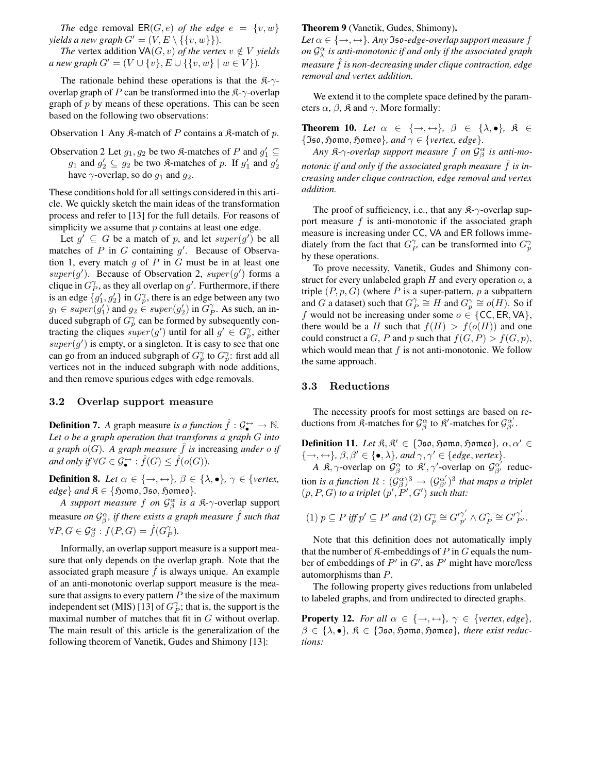*The* edge removal  $ER(G, e)$  *of the edge*  $e = \{v, w\}$ *yields a new graph*  $G' = (V, E \setminus \{\{v, w\}\}).$ 

*The* vertex addition  $\forall A(G, v)$  *of the vertex*  $v \notin V$  *yields a new graph*  $G' = (V \cup \{v\}, E \cup \{\{v, w\} \mid w \in V\}).$ 

The rationale behind these operations is that the  $\mathcal{R}-\gamma$ overlap graph of P can be transformed into the  $\mathfrak{K}\text{-}\gamma\text{-overlap}$ graph of  $p$  by means of these operations. This can be seen based on the following two observations:

Observation 1 Any  $\hat{\mathcal{R}}$ -match of P contains a  $\hat{\mathcal{R}}$ -match of p.

Observation 2 Let  $g_1, g_2$  be two  $\Re$ -matches of P and  $g'_1 \subseteq$  $g_1$  and  $g'_2 \subseteq g_2$  be two  $\Re$ -matches of p. If  $g'_1$  and  $g'_2$ have  $\gamma$ -overlap, so do  $q_1$  and  $q_2$ .

These conditions hold for all settings considered in this article. We quickly sketch the main ideas of the transformation process and refer to [13] for the full details. For reasons of simplicity we assume that  $p$  contains at least one edge.

Let  $g' \subseteq G$  be a match of p, and let  $super(g')$  be all matches of  $P$  in  $G$  containing  $g'$ . Because of Observation 1, every match  $g$  of  $P$  in  $G$  must be in at least one  $super(g')$ . Because of Observation 2,  $super(g')$  forms a clique in  $G_P^{\gamma}$ , as they all overlap on g'. Furthermore, if there is an edge  $\{g'_1, g'_2\}$  in  $G_p^{\gamma}$ , there is an edge between any two  $g_1 \in super(g'_1)$  and  $g_2 \in super(g'_2)$  in  $G_P^{\gamma}$ . As such, an induced subgraph of  $G_p^{\gamma}$  can be formed by subsequently contracting the cliques  $super(g')$  until for all  $g' \in G_p^{\gamma}$ , either  $super(g')$  is empty, or a singleton. It is easy to see that one can go from an induced subgraph of  $G_p^{\gamma}$  to  $G_p^{\gamma}$ : first add all vertices not in the induced subgraph with node additions, and then remove spurious edges with edge removals.

#### 3.2 Overlap support measure

**Definition 7.** *A* graph measure *is a function*  $\hat{f}: \mathcal{G}_{\bullet}^{\leftrightarrow} \to \mathbb{N}$ . *Let* o *be a graph operation that transforms a graph* G *into a* graph  $o(G)$ . A graph measure  $\hat{f}$  is increasing *under*  $o$  *if and only if*  $\forall G \in \mathcal{G}_\bullet^{\leftrightarrow} : \hat{f}(G) \leq \hat{f}(o(G)).$ 

**Definition 8.** *Let*  $\alpha \in \{\rightarrow, \leftrightarrow\}$ ,  $\beta \in \{\lambda, \bullet\}$ ,  $\gamma \in \{\text{vertex}, \text{Spec}\}$  $edge$  *and*  $\mathfrak{K} \in \{5$  *o* mo, Iso,  $5$  *o* meo  $\}$ .

*A support measure*  $f$  *on*  $\mathcal{G}_{\beta}^{\alpha}$  *is a*  $\mathcal{R}$ - $\gamma$ -overlap support measure *on*  $\mathcal{G}_{\beta}^{\alpha}$ , *if there exists a graph measure*  $\hat{f}$  *such that*  $\forall P, G \in \mathcal{G}_{\beta}^{\alpha} : f(P, G) = \hat{f}(G_P^{\gamma}).$ 

Informally, an overlap support measure is a support measure that only depends on the overlap graph. Note that the associated graph measure  $f$  is always unique. An example of an anti-monotonic overlap support measure is the measure that assigns to every pattern  $P$  the size of the maximum independent set (MIS) [13] of  $G_P^{\gamma}$ ; that is, the support is the maximal number of matches that fit in G without overlap. The main result of this article is the generalization of the following theorem of Vanetik, Gudes and Shimony [13]:

#### **Theorem 9** (Vanetik, Gudes, Shimony)**.**

 $Let \alpha \in \{\rightarrow, \leftrightarrow\}.$  *Any* Jso-edge-overlap support measure f *on*  $\mathcal{G}_{\lambda}^{\alpha}$  *is anti-monotonic if and only if the associated graph measure* ˆf *is non-decreasing under clique contraction, edge removal and vertex addition.*

We extend it to the complete space defined by the parameters  $\alpha$ ,  $\beta$ ,  $\hat{\mathcal{R}}$  and  $\gamma$ . More formally:

**Theorem 10.** *Let*  $\alpha \in \{\rightarrow, \leftrightarrow\}$ ,  $\beta \in \{\lambda, \bullet\}$ ,  $\beta \in \{\infty\}$  ${550, 50 \text{ m0}, 50 \text{ m0}}$ , *and*  $\gamma \in {vertex, edge}.$ 

Any  $\mathfrak{K}$ - $\gamma$ -overlap support measure  $f$  on  $\mathcal{G}_{\beta}^{\alpha}$  is anti-mo*notonic if and only if the associated graph measure*  $\hat{f}$  *is increasing under clique contraction, edge removal and vertex addition.*

The proof of sufficiency, i.e., that any  $\mathcal{R}-\gamma$ -overlap support measure  $f$  is anti-monotonic if the associated graph measure is increasing under CC, VA and ER follows immediately from the fact that  $G_P^{\gamma}$  can be transformed into  $G_p^{\gamma}$ by these operations.

To prove necessity, Vanetik, Gudes and Shimony construct for every unlabeled graph  $H$  and every operation  $o$ , a triple  $(P, p, G)$  (where P is a super-pattern, p a subpattern and G a dataset) such that  $G_p^{\gamma} \cong H$  and  $G_p^{\gamma} \cong o(H)$ . So if f would not be increasing under some  $o \in \{CC, ER, VA\}$ , there would be a H such that  $f(H) > f(o(H))$  and one could construct a G, P and p such that  $f(G, P) > f(G, p)$ , which would mean that  $f$  is not anti-monotonic. We follow the same approach.

#### 3.3 Reductions

The necessity proofs for most settings are based on reductions from  $\mathfrak{K}$ -matches for  $\mathcal{G}_{\beta}^{\alpha}$  to  $\mathfrak{K}'$ -matches for  $\mathcal{G}_{\beta'}^{\alpha'}$ .

**Definition 11.** *Let*  $\mathfrak{K}, \mathfrak{K}' \in \{ \mathfrak{Iso}, \mathfrak{Hom}$ o,  $\mathfrak{Hom}$ eo},  $\alpha, \alpha' \in$  $\{\rightarrow, \leftrightarrow\}, \beta, \beta' \in \{\bullet, \lambda\}, \text{ and } \gamma, \gamma' \in \{\text{edge}, \text{vertex}\}.$ 

*A*  $\beta$ ,  $\gamma$ -overlap on  $\mathcal{G}^{\alpha}_{\beta}$  to  $\beta'$ ,  $\gamma'$ -overlap on  $\mathcal{G}^{\alpha'}_{\beta'}$  reduction *is a function*  $R: (\mathcal{G}_{\beta}^{\alpha})^3 \to (\mathcal{G}_{\beta'}^{\alpha'})^3$  that maps a triplet  $(p, P, G)$  *to a triplet*  $(p', P', G')$  *such that:* 

(1) 
$$
p \subseteq P
$$
 iff  $p' \subseteq P'$  and (2)  $G_p^{\gamma} \cong G_{p'}^{\gamma'} \wedge G_P^{\gamma} \cong G_{P'}^{\gamma'}$ .

Note that this definition does not automatically imply that the number of  $\mathfrak K$ -embeddings of P in G equals the number of embeddings of  $P'$  in  $G'$ , as  $P'$  might have more/less automorphisms than P.

The following property gives reductions from unlabeled to labeled graphs, and from undirected to directed graphs.

**Property 12.** For all  $\alpha \in \{\rightarrow, \leftrightarrow\}$ ,  $\gamma \in \{vertex, edge\}$ ,  $\beta \in {\lambda, \bullet}$ ,  $\mathfrak{K} \in {\mathfrak{Iso}, \mathfrak{Hom}$ ,  $\mathfrak{Hom}$ ,  $\mathfrak{dom}$ , there exist reduc*tions:*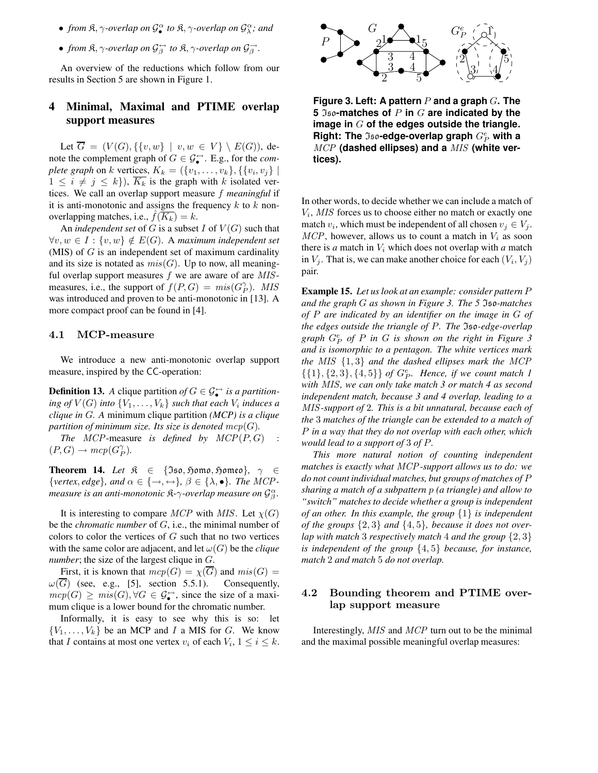- *from*  $\mathfrak{K}, \gamma$ -overlap on  $\mathcal{G}_{\bullet}^{\alpha}$  $\int_{a}^{\alpha}$  to  $\beta$ ,  $\gamma$ -overlap on  $\mathcal{G}_{\lambda}^{\alpha}$ ; and
- *from*  $\mathfrak{K}, \gamma$ -overlap on  $\mathcal{G}^{\leftrightarrow}_{\beta}$  to  $\mathfrak{K}, \gamma$ -overlap on  $\mathcal{G}^{\rightarrow}_{\beta}$ .

An overview of the reductions which follow from our results in Section 5 are shown in Figure 1.

## **4 Minimal, Maximal and PTIME overlap support measures**

Let  $\overline{G} = (V(G), \{\{v, w\} \mid v, w \in V\} \setminus E(G)),$  denote the complement graph of  $G \in \mathcal{G}_{\bullet}^{\leftrightarrow}$ . E.g., for the *complete* graph on k vertices,  $K_k = (\{v_1, \ldots, v_k\}, \{\{v_i, v_j\} \mid$  $1 \leq i \neq j \leq k$ ,  $\overline{K_k}$  is the graph with k isolated vertices. We call an overlap support measure f *meaningful* if it is anti-monotonic and assigns the frequency  $k$  to  $k$  nonoverlapping matches, i.e.,  $f(K_k) = k$ .

An *independent set* of G is a subset I of  $V(G)$  such that  $\forall v, w \in I : \{v, w\} \notin E(G)$ . A *maximum independent set* (MIS) of  $G$  is an independent set of maximum cardinality and its size is notated as  $mis(G)$ . Up to now, all meaningful overlap support measures  $f$  we are aware of are  $MIS$ measures, i.e., the support of  $f(P,G) = mis(G_P^{\gamma})$ . MIS was introduced and proven to be anti-monotonic in [13]. A more compact proof can be found in [4].

#### 4.1 MCP-measure

We introduce a new anti-monotonic overlap support measure, inspired by the CC-operation:

**Definition 13.** *A* clique partition of  $G \in \mathcal{G}_{\bullet}^{\leftrightarrow}$  is a partition*ing of*  $V(G)$  *into*  $\{V_1, \ldots, V_k\}$  *such that each*  $V_i$  *induces a clique in* G*. A* minimum clique partition *(MCP) is a clique partition of minimum size.* Its *size is denoted*  $mcp(G)$ *.* 

*The*  $MCP$ -measure *is defined by*  $MCP(P, G)$  :  $(P, G) \rightarrow mcp(G_P^{\gamma}).$ 

**Theorem 14.** *Let*  $\mathcal{R} \in \{ \Im \mathfrak{so}, \mathfrak{Hom} \mathfrak{so}, \mathfrak{Hom} \mathfrak{so} \}$ ,  $\gamma \in$  $\{vertex, edge\}, and \alpha \in \{\rightarrow, \leftrightarrow\}, \beta \in \{\lambda, \bullet\}.$  *The MCPmeasure is an anti-monotonic* K*-*γ*-overlap measure on* G α β *.*

It is interesting to compare MCP with MIS. Let  $\chi(G)$ be the *chromatic number* of G, i.e., the minimal number of colors to color the vertices of  $G$  such that no two vertices with the same color are adjacent, and let  $\omega(G)$  be the *clique number*; the size of the largest clique in G.

First, it is known that  $mcp(G) = \chi(G)$  and  $mis(G) =$  $\omega(\overline{G})$  (see, e.g., [5], section 5.5.1). Consequently,  $\mathit{mcp}(G) \geq \mathit{mis}(G), \forall G \in \mathcal{G}_{\bullet}^{\leftrightarrow}$ , since the size of a maximum clique is a lower bound for the chromatic number.

Informally, it is easy to see why this is so: let  ${V_1, \ldots, V_k}$  be an MCP and I a MIS for G. We know that I contains at most one vertex  $v_i$  of each  $V_i$ ,  $1 \le i \le k$ .



**Figure 3. Left: A pattern** P **and a graph** G**. The 5** Iso**-matches of** P **in** G **are indicated by the image in** G **of the edges outside the triangle.**  $\mathsf{Right}\colon \mathsf{The \; \mathfrak{Iso}\text{-}edge-overlap \, graph \, G^e_P}$  with  $\mathsf{a}$ MCP **(dashed ellipses) and a** MIS **(white vertices).**

In other words, to decide whether we can include a match of Vi , MIS forces us to choose either no match or exactly one match  $v_i$ , which must be independent of all chosen  $v_j \in V_j$ .  $MCP$ , however, allows us to count a match in  $V_i$  as soon there is  $a$  match in  $V_i$  which does not overlap with  $a$  match in  $V_j$ . That is, we can make another choice for each  $(V_i, V_j)$ pair.

**Example 15.** *Let us look at an example: consider pattern* P *and the graph* G *as shown in Figure 3. The 5* Iso*-matches of* P *are indicated by an identifier on the image in* G *of the edges outside the triangle of* P*. The* Iso*-edge-overlap graph* G<sup>e</sup> P *of* P *in* G *is shown on the right in Figure 3 and is isomorphic to a pentagon. The white vertices mark the* MIS {1, 3} *and the dashed ellipses mark the* MCP  ${1, {2, 3}, {4, 5}}$  of  $G_P^e$ . Hence, if we count match 1 *with* MIS*, we can only take match 3 or match 4 as second independent match, because 3 and 4 overlap, leading to a* MIS*-support of* 2*. This is a bit unnatural, because each of the* 3 *matches of the triangle can be extended to a match of* P *in a way that they do not overlap with each other, which would lead to a support of* 3 *of* P*.*

*This more natural notion of counting independent matches is exactly what* MCP*-support allows us to do: we do not count individual matches, but groups of matches of* P *sharing a match of a subpattern* p *(a triangle) and allow to "switch" matches to decide whether a group is independent of an other. In this example, the group* {1} *is independent of the groups* {2, 3} *and* {4, 5}*, because it does not overlap with match* 3 *respectively match* 4 *and the group* {2, 3} *is independent of the group* {4, 5} *because, for instance, match* 2 *and match* 5 *do not overlap.*

## 4.2 Bounding theorem and PTIME overlap support measure

Interestingly, MIS and MCP turn out to be the minimal and the maximal possible meaningful overlap measures: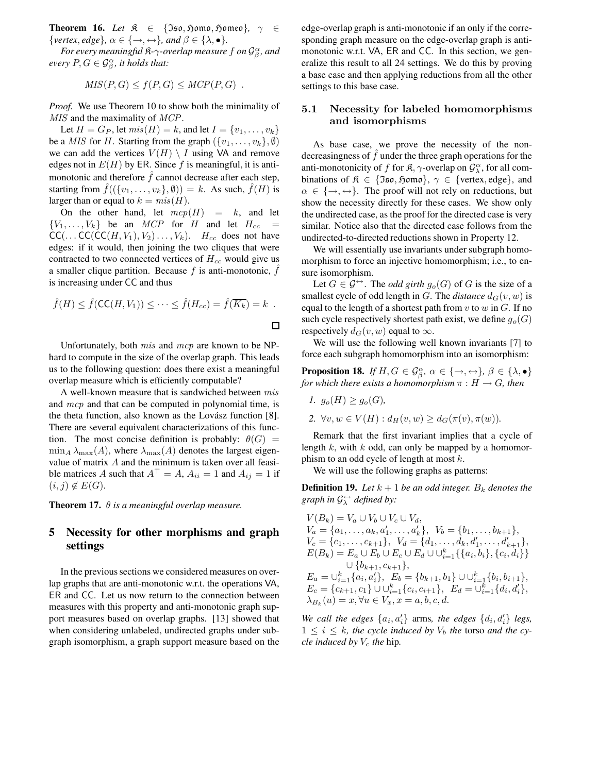**Theorem 16.** *Let*  $\mathcal{R} \in \{ \text{Iso}, \text{Sjomo}, \text{Sjomo} \}$ ,  $\gamma \in \mathcal{R}$  $\{vertex, edge\}, \alpha \in \{\rightarrow, \leftrightarrow\}, and \beta \in \{\lambda, \bullet\}.$ 

For every meaningful  $\mathfrak{K}$ - $\gamma$ -overlap measure  $f$  on  $\mathcal{G}_{\beta}^{\alpha}$ , and  $\epsilon$ *every*  $P, G \in \mathcal{G}_{\beta}^{\alpha}$ , *it holds that:* 

$$
MIS(P,G) \le f(P,G) \le MCP(P,G) .
$$

*Proof.* We use Theorem 10 to show both the minimality of MIS and the maximality of MCP.

Let  $H = G_P$ , let  $mis(H) = k$ , and let  $I = \{v_1, ..., v_k\}$ be a *MIS* for H. Starting from the graph  $({v_1, \ldots, v_k}, \emptyset)$ we can add the vertices  $V(H) \setminus I$  using VA and remove edges not in  $E(H)$  by ER. Since f is meaningful, it is antimonotonic and therefore  $\hat{f}$  cannot decrease after each step, starting from  $f((\{v_1, \ldots, v_k\}, \emptyset)) = k$ . As such,  $f(H)$  is larger than or equal to  $k = mis(H)$ .

On the other hand, let  $mcp(H) = k$ , and let  ${V_1, \ldots, V_k}$  be an *MCP* for *H* and let  $H_{cc}$  =  $CC(...CC(CC(H, V_1), V_2)..., V_k).$  H<sub>cc</sub> does not have edges: if it would, then joining the two cliques that were contracted to two connected vertices of  $H_{cc}$  would give us a smaller clique partition. Because  $f$  is anti-monotonic,  $f$ is increasing under CC and thus

$$
\hat{f}(H) \leq \hat{f}(\mathsf{CC}(H, V_1)) \leq \cdots \leq \hat{f}(H_{cc}) = \hat{f}(\overline{K_k}) = k .
$$

Unfortunately, both  $mis$  and  $mcp$  are known to be NPhard to compute in the size of the overlap graph. This leads us to the following question: does there exist a meaningful overlap measure which is efficiently computable?

A well-known measure that is sandwiched between mis and mcp and that can be computed in polynomial time, is the theta function, also known as the Lovász function  $[8]$ . There are several equivalent characterizations of this function. The most concise definition is probably:  $\theta(G)$  =  $\min_A \lambda_{\max}(A)$ , where  $\lambda_{\max}(A)$  denotes the largest eigenvalue of matrix A and the minimum is taken over all feasible matrices A such that  $A^{\top} = A$ ,  $A_{ii} = 1$  and  $A_{ij} = 1$  if  $(i, j) \notin E(G)$ .

**Theorem 17.**  $\theta$  *is a meaningful overlap measure.* 

## **5 Necessity for other morphisms and graph settings**

In the previous sections we considered measures on overlap graphs that are anti-monotonic w.r.t. the operations VA, ER and CC. Let us now return to the connection between measures with this property and anti-monotonic graph support measures based on overlap graphs. [13] showed that when considering unlabeled, undirected graphs under subgraph isomorphism, a graph support measure based on the

edge-overlap graph is anti-monotonic if an only if the corresponding graph measure on the edge-overlap graph is antimonotonic w.r.t. VA, ER and CC. In this section, we generalize this result to all 24 settings. We do this by proving a base case and then applying reductions from all the other settings to this base case.

## 5.1 Necessity for labeled homomorphisms and isomorphisms

As base case, we prove the necessity of the nondecreasingness of  $\ddot{f}$  under the three graph operations for the anti-monotonicity of f for  $\mathfrak{K}, \gamma$ -overlap on  $\mathcal{G}_{\lambda}^{\alpha}$ , for all combinations of  $\mathfrak{K} \in \{ \mathfrak{Iso}, \mathfrak{Hom} \}$ ,  $\gamma \in \{ \text{vertex}, \text{edge} \}$ , and  $\alpha \in \{\rightarrow, \leftrightarrow\}.$  The proof will not rely on reductions, but show the necessity directly for these cases. We show only the undirected case, as the proof for the directed case is very similar. Notice also that the directed case follows from the undirected-to-directed reductions shown in Property 12.

We will essentially use invariants under subgraph homomorphism to force an injective homomorphism; i.e., to ensure isomorphism.

Let  $G \in \mathcal{G}^{\leftrightarrow}$ . The *odd girth*  $g_o(G)$  of G is the size of a smallest cycle of odd length in G. The *distance*  $d_G(v, w)$  is equal to the length of a shortest path from  $v$  to  $w$  in  $G$ . If no such cycle respectively shortest path exist, we define  $g_o(G)$ respectively  $d_G(v, w)$  equal to  $\infty$ .

We will use the following well known invariants [7] to force each subgraph homomorphism into an isomorphism:

**Proposition 18.** *If*  $H, G \in \mathcal{G}_{\beta}^{\alpha}, \alpha \in \{\rightarrow, \leftrightarrow\}, \beta \in \{\lambda, \bullet\}$ *for which there exists a homomorphism*  $\pi : H \to G$ *, then* 

\n- $$
g_o(H) \ge g_o(G)
$$
\n- $\forall v, w \in V(H) : d_H(v, w) \ge d_G(\pi(v), \pi(w))$
\n

Remark that the first invariant implies that a cycle of length k, with k odd, can only be mapped by a homomorphism to an odd cycle of length at most  $k$ .

We will use the following graphs as patterns:

**Definition 19.** Let  $k + 1$  be an odd integer.  $B_k$  denotes the  $graph$  *in*  $\mathcal{G}_{\lambda}^{\leftrightarrow}$  *defined by*:

$$
V(B_k) = V_a \cup V_b \cup V_c \cup V_d,
$$
  
\n
$$
V_a = \{a_1, \ldots, a_k, a'_1, \ldots, a'_k\}, \quad V_b = \{b_1, \ldots, b_{k+1}\},
$$
  
\n
$$
V_c = \{c_1, \ldots, c_{k+1}\}, \quad V_d = \{d_1, \ldots, d_k, d'_1, \ldots, d'_{k+1}\},
$$
  
\n
$$
E(B_k) = E_a \cup E_b \cup E_c \cup E_d \cup \bigcup_{i=1}^k \{\{a_i, b_i\}, \{c_i, d_i\}\}
$$
  
\n
$$
\cup \{b_{k+1}, c_{k+1}\},
$$
  
\n
$$
E_a = \bigcup_{i=1}^k \{a_i, a'_i\}, \quad E_b = \{b_{k+1}, b_1\} \cup \bigcup_{i=1}^k \{b_i, b_{i+1}\},
$$
  
\n
$$
E_c = \{c_{k+1}, c_1\} \cup \bigcup_{i=1}^k \{c_i, c_{i+1}\}, \quad E_d = \bigcup_{i=1}^k \{d_i, d'_i\},
$$
  
\n
$$
\lambda_{B_k}(u) = x, \forall u \in V_x, x = a, b, c, d.
$$

*We* call the edges  $\{a_i, a'_i\}$  arms, the edges  $\{d_i, d'_i\}$  legs,  $1 \leq i \leq k$ , the cycle induced by  $V_b$  the torso and the cy*cle induced by*  $V_c$  *the* hip.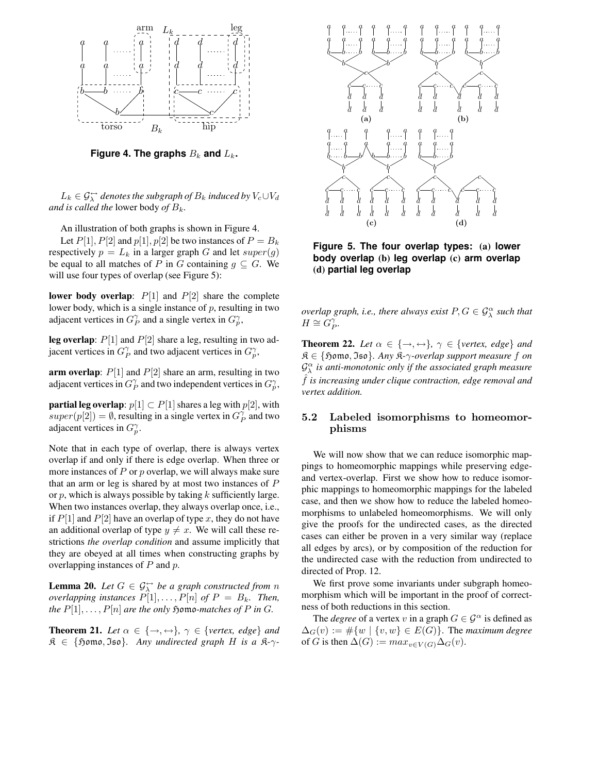

**Figure** 4. The graphs  $B_k$  and  $L_k$ .

 $L_k \in \mathcal{G}_{\lambda}^{\leftrightarrow}$  denotes the subgraph of  $B_k$  induced by  $V_c \cup V_d$ *and is called the lower body of*  $B_k$ .

An illustration of both graphs is shown in Figure 4. Let  $P[1]$ ,  $P[2]$  and  $p[1]$ ,  $p[2]$  be two instances of  $P = B_k$ respectively  $p = L_k$  in a larger graph G and let  $super(g)$ 

be equal to all matches of P in G containing  $g \subseteq G$ . We will use four types of overlap (see Figure 5):

**lower body overlap**:  $P[1]$  and  $P[2]$  share the complete lower body, which is a single instance of  $p$ , resulting in two adjacent vertices in  $G_p^{\gamma}$  and a single vertex in  $G_p^{\gamma}$ ,

**leg overlap**: P[1] and P[2] share a leg, resulting in two adjacent vertices in  $G_p^{\gamma}$  and two adjacent vertices in  $G_p^{\gamma}$ ,

**arm overlap**:  $P[1]$  and  $P[2]$  share an arm, resulting in two adjacent vertices in  $G_p^{\gamma}$  and two independent vertices in  $G_p^{\gamma}$ ,

**partial leg overlap**:  $p[1] \subset P[1]$  shares a leg with  $p[2]$ , with  $super(p[2]) = \emptyset$ , resulting in a single vertex in  $G_P^{\gamma}$  and two adjacent vertices in  $G_p^{\gamma}$ .

Note that in each type of overlap, there is always vertex overlap if and only if there is edge overlap. When three or more instances of  $P$  or  $p$  overlap, we will always make sure that an arm or leg is shared by at most two instances of P or  $p$ , which is always possible by taking  $k$  sufficiently large. When two instances overlap, they always overlap once, i.e., if  $P[1]$  and  $P[2]$  have an overlap of type x, they do not have an additional overlap of type  $y \neq x$ . We will call these restrictions *the overlap condition* and assume implicitly that they are obeyed at all times when constructing graphs by overlapping instances of  $P$  and  $p$ .

**Lemma 20.** *Let*  $G \in \mathcal{G}_{\lambda}^{\leftrightarrow}$  *be a graph constructed from n overlapping instances*  $P[1], \ldots, P[n]$  *of*  $P = B_k$ *. Then, the*  $P[1], \ldots, P[n]$  *are the only formo-matches of*  $P$  *in*  $G$ *.* 

**Theorem 21.** *Let*  $\alpha \in \{\rightarrow, \leftrightarrow\}$ ,  $\gamma \in \{vertex, edge\}$  *and*  $\mathfrak{K} \in \{ \mathfrak{Hom}_{\mathfrak{O}}, \mathfrak{Iso} \}.$  Any undirected graph H is a  $\mathfrak{K}$ - $\gamma$ -



**Figure 5. The four overlap types: (a) lower body overlap (b) leg overlap (c) arm overlap (d) partial leg overlap**

*overlap graph, i.e., there always exist*  $P, G \in \mathcal{G}_{\lambda}^{\alpha}$  *such that*  $H \cong G_P^{\gamma}$ .

**Theorem 22.** *Let*  $\alpha \in \{\rightarrow, \leftrightarrow\}$ ,  $\gamma \in \{vertex, edge\}$  *and* K ∈ {Homo, Iso}*. Any* K*-*γ*-overlap support measure* f *on* G α λ *is anti-monotonic only if the associated graph measure* ˆf *is increasing under clique contraction, edge removal and vertex addition.*

## 5.2 Labeled isomorphisms to homeomorphisms

We will now show that we can reduce isomorphic mappings to homeomorphic mappings while preserving edgeand vertex-overlap. First we show how to reduce isomorphic mappings to homeomorphic mappings for the labeled case, and then we show how to reduce the labeled homeomorphisms to unlabeled homeomorphisms. We will only give the proofs for the undirected cases, as the directed cases can either be proven in a very similar way (replace all edges by arcs), or by composition of the reduction for the undirected case with the reduction from undirected to directed of Prop. 12.

We first prove some invariants under subgraph homeomorphism which will be important in the proof of correctness of both reductions in this section.

The *degree* of a vertex v in a graph  $G \in \mathcal{G}^{\alpha}$  is defined as  $\Delta_G(v) := \#\{w \mid \{v, w\} \in E(G)\}\$ . The *maximum degree* of G is then  $\Delta(G) := max_{v \in V(G)} \Delta_G(v)$ .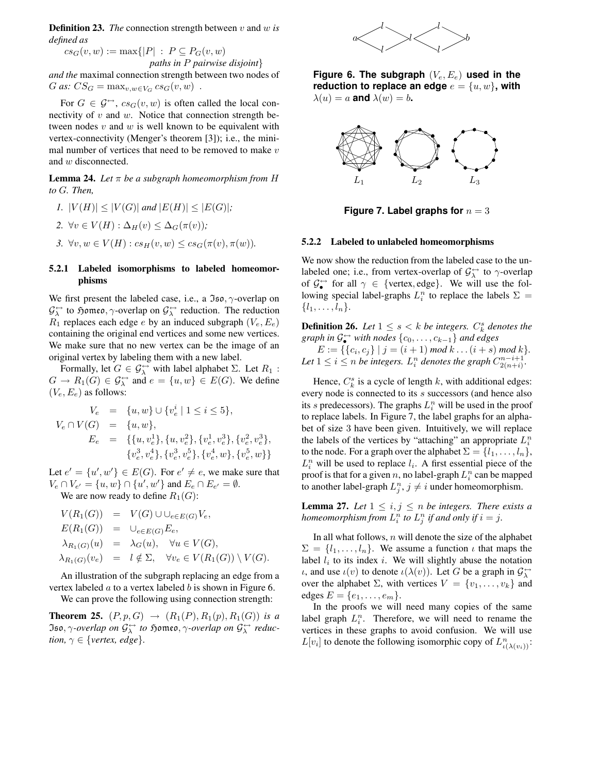**Definition 23.** *The* connection strength between v and w *is defined as*

 $cs_G(v, w) := \max\{|P| : P \subseteq P_G(v, w)\}$ *paths in* P *pairwise disjoint*} *and the* maximal connection strength between two nodes of

G as:  $CS_G = \max_{v,w \in V_G} cs_G(v,w)$ .

For  $G \in \mathcal{G} \rightarrow cs_G(v, w)$  is often called the local connectivity of  $v$  and  $w$ . Notice that connection strength between nodes  $v$  and  $w$  is well known to be equivalent with vertex-connectivity (Menger's theorem [3]); i.e., the minimal number of vertices that need to be removed to make  $v$ and w disconnected.

**Lemma 24.** *Let*  $\pi$  *be a subgraph homeomorphism from H to* G*. Then,*

$$
I.\ \, |V(H)|\leq |V(G)|\; \text{and}\; |E(H)|\leq |E(G)|;
$$

2.  $\forall v \in V(H) : \Delta_H(v) \leq \Delta_G(\pi(v))$ ;

3. 
$$
\forall v, w \in V(H) : cs_H(v, w) \leq cs_G(\pi(v), \pi(w)).
$$

### **5.2.1 Labeled isomorphisms to labeled homeomorphisms**

We first present the labeled case, i.e., a  $\mathfrak{Iso}, \gamma$ -overlap on  $\mathcal{G}_{\lambda}^{\leftrightarrow}$  to  $\mathfrak{Hom}$  as,  $\gamma$ -overlap on  $\mathcal{G}_{\lambda}^{\leftrightarrow}$  reduction. The reduction  $R_1$  replaces each edge e by an induced subgraph  $(V_e, E_e)$ containing the original end vertices and some new vertices. We make sure that no new vertex can be the image of an original vertex by labeling them with a new label.

Formally, let  $G \in \mathcal{G}_{\lambda}^{\leftrightarrow}$  with label alphabet  $\Sigma$ . Let  $R_1$ :  $G \to R_1(G) \in \mathcal{G}_{\lambda}^{\leftrightarrow}$  and  $e = \{u, w\} \in E(G)$ . We define  $(V_e, E_e)$  as follows:

$$
V_e = \{u, w\} \cup \{v_e^i \mid 1 \le i \le 5\},
$$
  
\n
$$
V_e \cap V(G) = \{u, w\},
$$
  
\n
$$
E_e = \{\{u, v_e^1\}, \{u, v_e^2\}, \{v_e^1, v_e^3\}, \{v_e^2, v_e^3\},
$$
  
\n
$$
\{v_e^3, v_e^4\}, \{v_e^3, v_e^5\}, \{v_e^4, w\}, \{v_e^5, w\}\}
$$

Let  $e' = \{u', w'\} \in E(G)$ . For  $e' \neq e$ , we make sure that  $V_e \cap V_{e'} = \{u, w\} \cap \{u', w'\}$  and  $E_e \cap E_{e'} = \emptyset$ .

We are now ready to define  $R_1(G)$ :

$$
V(R_1(G)) = V(G) \cup \bigcup_{e \in E(G)} V_e,
$$
  
\n
$$
E(R_1(G)) = \bigcup_{e \in E(G)} E_e,
$$
  
\n
$$
\lambda_{R_1(G)}(u) = \lambda_G(u), \quad \forall u \in V(G),
$$
  
\n
$$
\lambda_{R_1(G)}(v_e) = l \notin \Sigma, \quad \forall v_e \in V(R_1(G)) \setminus V(G).
$$

An illustration of the subgraph replacing an edge from a vertex labeled  $\alpha$  to a vertex labeled  $\delta$  is shown in Figure 6.

We can prove the following using connection strength:

**Theorem 25.**  $(P, p, G) \rightarrow (R_1(P), R_1(p), R_1(G))$  *is a*  $\mathfrak{Iso}, \gamma$ *-overlap on*  $\mathcal{G}_{\lambda}^{\leftrightarrow}$  *to*  $\mathfrak{Hom}$ *eo,*  $\gamma$ *-overlap on*  $\mathcal{G}_{\lambda}^{\leftrightarrow}$  *reduction,*  $\gamma \in \{vertex, edge\}.$ 



**Figure 6. The subgraph** (Ve, Ee) **used in the reduction to replace an edge**  $e = \{u, w\}$ , with  $\lambda(u) = a$  **and**  $\lambda(w) = b$ .



**Figure 7. Label graphs for**  $n = 3$ 

#### **5.2.2 Labeled to unlabeled homeomorphisms**

We now show the reduction from the labeled case to the unlabeled one; i.e., from vertex-overlap of  $\mathcal{G}_{\lambda}^{\leftrightarrow}$  to  $\gamma$ -overlap of  $\mathcal{G}_{\bullet}^{\leftrightarrow}$  for all  $\gamma \in \{\text{vertex}, \text{edge}\}.$  We will use the following special label-graphs  $L_i^n$  to replace the labels  $\Sigma =$  $\{l_1, \ldots, l_n\}.$ 

**Definition 26.** *Let*  $1 \leq s \leq k$  *be integers.*  $C_k^s$  *denotes the*  $graph$  *in*  $\mathcal{G}_{\bullet}^{\leftrightarrow}$  *with nodes*  $\{c_0, \ldots, c_{k-1}\}$  *and edges* 

 $E := \{\{c_i, c_j\} \mid j = (i + 1) \text{ mod } k \dots (i + s) \text{ mod } k\}.$ Let  $1 \leq i \leq n$  be integers.  $L_i^n$  denotes the graph  $C_{2(n+i)}^{n-i+1}$ .

Hence,  $C_k^s$  is a cycle of length k, with additional edges: every node is connected to its s successors (and hence also its s predecessors). The graphs  $L_i^n$  will be used in the proof to replace labels. In Figure 7, the label graphs for an alphabet of size 3 have been given. Intuitively, we will replace the labels of the vertices by "attaching" an appropriate  $L_i^n$ to the node. For a graph over the alphabet  $\Sigma = \{l_1, \ldots, l_n\},\$  $L_i^n$  will be used to replace  $l_i$ . A first essential piece of the proof is that for a given n, no label-graph  $L_i^n$  can be mapped to another label-graph  $L_j^n$ ,  $j \neq i$  under homeomorphism.

**Lemma 27.** *Let*  $1 \leq i, j \leq n$  *be integers. There exists a homeomorphism from*  $L_i^n$  *to*  $L_j^n$  *if and only if*  $i = j$ .

In all what follows,  $n$  will denote the size of the alphabet  $\Sigma = \{l_1, \ldots, l_n\}$ . We assume a function  $\iota$  that maps the label  $l_i$  to its index i. We will slightly abuse the notation *ι*, and use  $\iota(v)$  to denote  $\iota(\lambda(v))$ . Let G be a graph in  $\mathcal{G}_{\lambda}^{\leftrightarrow}$ over the alphabet  $\Sigma$ , with vertices  $V = \{v_1, \ldots, v_k\}$  and edges  $E = \{e_1, \ldots, e_m\}.$ 

In the proofs we will need many copies of the same label graph  $L_i^n$ . Therefore, we will need to rename the vertices in these graphs to avoid confusion. We will use  $L[v_i]$  to denote the following isomorphic copy of  $L_{\iota(\lambda(v_i))}^n$ :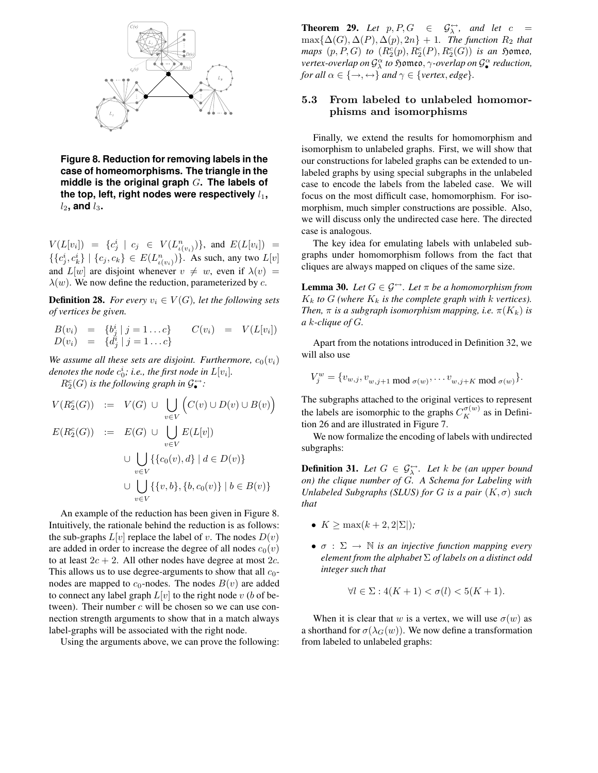

**Figure 8. Reduction for removing labels in the case of homeomorphisms. The triangle in the middle is the original graph** G**. The labels of the top, left, right nodes were respectively**  $l_1$ ,  $l_2$ , and  $l_3$ .

 $V(L[v_i]) = \{c_j^i \mid c_j \in V(L^n_{\iota(v_i)})\}, \text{ and } E(L[v_i]) =$  $\{\{c_j^i, c_k^i\} \mid \{c_j, c_k\} \in E(L_{\iota(v_i)}^n)\}\$ . As such, any two  $L[v]$ and  $L[w]$  are disjoint whenever  $v \neq w$ , even if  $\lambda(v) =$  $\lambda(w)$ . We now define the reduction, parameterized by c.

**Definition 28.** *For every*  $v_i \in V(G)$ *, let the following sets of vertices be given.*

$$
B(v_i) = \{b_j^i | j = 1...c\} \qquad C(v_i) = V(L[v_i])
$$
  

$$
D(v_i) = \{d_j^i | j = 1...c\}
$$

*We* assume all these sets are disjoint. Furthermore,  $c_0(v_i)$ denotes the node  $c_0^i$ ; i.e., the first node in  $L[v_i]$ .

 $R_2^c(G)$  *is the following graph in*  $\mathcal{G}_{\bullet}^{\leftrightarrow}$ :

$$
V(R_2^c(G)) := V(G) \cup \bigcup_{v \in V} (C(v) \cup D(v) \cup B(v))
$$
  
\n
$$
E(R_2^c(G)) := E(G) \cup \bigcup_{v \in V} E(L[v])
$$
  
\n
$$
\cup \bigcup_{v \in V} \{\{c_0(v), d\} \mid d \in D(v)\}
$$
  
\n
$$
\cup \bigcup_{v \in V} \{\{v, b\}, \{b, c_0(v)\} \mid b \in B(v)\}
$$

An example of the reduction has been given in Figure 8. Intuitively, the rationale behind the reduction is as follows: the sub-graphs  $L[v]$  replace the label of v. The nodes  $D(v)$ are added in order to increase the degree of all nodes  $c_0(v)$ to at least  $2c + 2$ . All other nodes have degree at most  $2c$ . This allows us to use degree-arguments to show that all  $c_0$ nodes are mapped to  $c_0$ -nodes. The nodes  $B(v)$  are added to connect any label graph  $L[v]$  to the right node v (b of between). Their number  $c$  will be chosen so we can use connection strength arguments to show that in a match always label-graphs will be associated with the right node.

Using the arguments above, we can prove the following:

**Theorem 29.** Let  $p, P, G \in \mathcal{G}_{\lambda}^{\leftrightarrow}$ , and let  $c =$  $\max{\{\Delta(G), \Delta(P), \Delta(p), 2n\}} + 1$ *. The function*  $R_2$  *that*  $maps (p, P, G) to (R_2^c(p), R_2^c(P), R_2^c(G))$  *is an*  $$5$ omeo, *vertex-overlap on*  $\mathcal{G}^{\alpha}_{\lambda}$  *to s*omeo,  $\gamma$ -*overlap on*  $\mathcal{G}^{\alpha}_{\bullet}$ • *reduction, for all*  $\alpha \in \{\rightarrow, \leftrightarrow\}$  *and*  $\gamma \in \{vertex, edge\}.$ 

## 5.3 From labeled to unlabeled homomorphisms and isomorphisms

Finally, we extend the results for homomorphism and isomorphism to unlabeled graphs. First, we will show that our constructions for labeled graphs can be extended to unlabeled graphs by using special subgraphs in the unlabeled case to encode the labels from the labeled case. We will focus on the most difficult case, homomorphism. For isomorphism, much simpler constructions are possible. Also, we will discuss only the undirected case here. The directed case is analogous.

The key idea for emulating labels with unlabeled subgraphs under homomorphism follows from the fact that cliques are always mapped on cliques of the same size.

**Lemma 30.** *Let*  $G \in \mathcal{G}^{\leftrightarrow}$ *. Let*  $\pi$  *be a homomorphism from*  $K_k$  *to*  $G$  (where  $K_k$  *is the complete graph with k vertices). Then,*  $\pi$  *is a subgraph isomorphism mapping, i.e.*  $\pi(K_k)$  *is a* k*-clique of* G*.*

Apart from the notations introduced in Definition 32, we will also use

$$
V_j^w = \{v_{w,j}, v_{w,j+1} \bmod \sigma(w)}, \dots v_{w,j+K} \bmod \sigma(w)\}.
$$

The subgraphs attached to the original vertices to represent the labels are isomorphic to the graphs  $C_K^{\sigma(w)}$  as in Definition 26 and are illustrated in Figure 7.

We now formalize the encoding of labels with undirected subgraphs:

**Definition 31.** Let  $G \in \mathcal{G}_{\lambda}^{\leftrightarrow}$ . Let k be (an upper bound *on) the clique number of* G*. A Schema for Labeling with Unlabeled Subgraphs (SLUS) for G is a pair*  $(K, \sigma)$  *such that*

- $K \geq \max(k+2, 2|\Sigma|)$ ;
- $\bullet$   $\sigma : \Sigma \rightarrow \mathbb{N}$  *is an injective function mapping every element from the alphabet* Σ *of labels on a distinct odd integer such that*

$$
\forall l \in \Sigma : 4(K+1) < \sigma(l) < 5(K+1).
$$

When it is clear that w is a vertex, we will use  $\sigma(w)$  as a shorthand for  $\sigma(\lambda_G(w))$ . We now define a transformation from labeled to unlabeled graphs: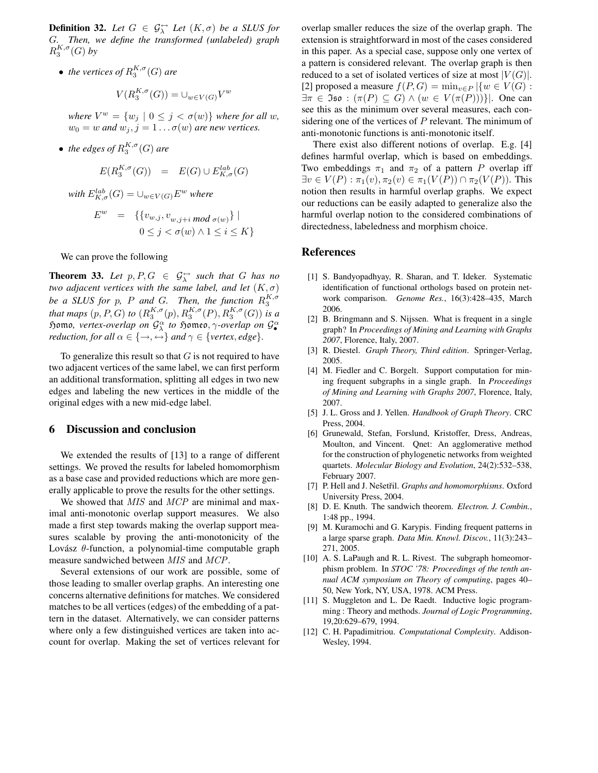**Definition 32.** Let  $G \in \mathcal{G}_{\lambda}^{\leftrightarrow}$  Let  $(K, \sigma)$  be a SLUS for G*. Then, we define the transformed (unlabeled) graph*  $R_3^{K,\sigma}(G)$  by

• *the vertices of*  $R_3^{K,\sigma}(G)$  *are* 

$$
V(R_3^{K,\sigma}(G)) = \cup_{w \in V(G)} V^w
$$

- *where*  $V^w = \{w_j \mid 0 \leq j < \sigma(w)\}$  *where for all w,*  $w_0 = w$  *and*  $w_j$ ,  $j = 1 \dots \sigma(w)$  *are new vertices.*
- *the edges of*  $R_3^{K,\sigma}(G)$  *are*

$$
E(R_3^{K,\sigma}(G)) = E(G) \cup E_{K,\sigma}^{lab}(G)
$$

*with*  $E_{K,\sigma}^{lab}(G) = \cup_{w \in V(G)} E^{w}$  *where* 

$$
Ew = \{ \{ vw,j, vw,j+i mod \sigma(w) \} |
$$
  

$$
0 \le j < \sigma(w) \land 1 \le i \le K \}
$$

We can prove the following

**Theorem 33.** Let  $p, P, G \in \mathcal{G}_{\lambda}^{\leftrightarrow}$  such that G has no *two adjacent vertices with the same label, and let*  $(K, \sigma)$ *be a SLUS for p*, *P and G. Then, the function*  $R_3^{K, \sigma}$ *that maps*  $(p, P, G)$  *to*  $(R_3^{K, \sigma}(p), R_3^{K, \sigma}(P), R_3^{K, \sigma}(G))$  *is a* Homo*, vertex-overlap on* G α λ *to* Homeo, γ*-overlap on* G α • *reduction, for all*  $\alpha \in \{\rightarrow, \leftrightarrow\}$  *and*  $\gamma \in \{vertex, edge\}.$ 

To generalize this result so that  $G$  is not required to have two adjacent vertices of the same label, we can first perform an additional transformation, splitting all edges in two new edges and labeling the new vertices in the middle of the original edges with a new mid-edge label.

## **6 Discussion and conclusion**

We extended the results of [13] to a range of different settings. We proved the results for labeled homomorphism as a base case and provided reductions which are more generally applicable to prove the results for the other settings.

We showed that *MIS* and *MCP* are minimal and maximal anti-monotonic overlap support measures. We also made a first step towards making the overlap support measures scalable by proving the anti-monotonicity of the Lovász  $\theta$ -function, a polynomial-time computable graph measure sandwiched between MIS and MCP.

Several extensions of our work are possible, some of those leading to smaller overlap graphs. An interesting one concerns alternative definitions for matches. We considered matches to be all vertices (edges) of the embedding of a pattern in the dataset. Alternatively, we can consider patterns where only a few distinguished vertices are taken into account for overlap. Making the set of vertices relevant for

overlap smaller reduces the size of the overlap graph. The extension is straightforward in most of the cases considered in this paper. As a special case, suppose only one vertex of a pattern is considered relevant. The overlap graph is then reduced to a set of isolated vertices of size at most  $|V(G)|$ . [2] proposed a measure  $f(P, G) = \min_{v \in P} |\{w \in V(G) :$  $\exists \pi \in \mathfrak{Iso}: (\pi(P) \subseteq G) \wedge (w \in V(\pi(P)))\}.$  One can see this as the minimum over several measures, each considering one of the vertices of  $P$  relevant. The minimum of anti-monotonic functions is anti-monotonic itself.

There exist also different notions of overlap. E.g. [4] defines harmful overlap, which is based on embeddings. Two embeddings  $\pi_1$  and  $\pi_2$  of a pattern P overlap iff  $\exists v \in V(P) : \pi_1(v), \pi_2(v) \in \pi_1(V(P)) \cap \pi_2(V(P)).$  This notion then results in harmful overlap graphs. We expect our reductions can be easily adapted to generalize also the harmful overlap notion to the considered combinations of directedness, labeledness and morphism choice.

### **References**

- [1] S. Bandyopadhyay, R. Sharan, and T. Ideker. Systematic identification of functional orthologs based on protein network comparison. *Genome Res.*, 16(3):428–435, March 2006.
- [2] B. Bringmann and S. Nijssen. What is frequent in a single graph? In *Proceedings of Mining and Learning with Graphs 2007*, Florence, Italy, 2007.
- [3] R. Diestel. *Graph Theory, Third edition*. Springer-Verlag, 2005.
- [4] M. Fiedler and C. Borgelt. Support computation for mining frequent subgraphs in a single graph. In *Proceedings of Mining and Learning with Graphs 2007*, Florence, Italy, 2007.
- [5] J. L. Gross and J. Yellen. *Handbook of Graph Theory*. CRC Press, 2004.
- [6] Grunewald, Stefan, Forslund, Kristoffer, Dress, Andreas, Moulton, and Vincent. Qnet: An agglomerative method for the construction of phylogenetic networks from weighted quartets. *Molecular Biology and Evolution*, 24(2):532–538, February 2007.
- [7] P. Hell and J. Nešetřil. *Graphs and homomorphisms*. Oxford University Press, 2004.
- [8] D. E. Knuth. The sandwich theorem. *Electron. J. Combin.*, 1:48 pp., 1994.
- [9] M. Kuramochi and G. Karypis. Finding frequent patterns in a large sparse graph. *Data Min. Knowl. Discov.*, 11(3):243– 271, 2005.
- [10] A. S. LaPaugh and R. L. Rivest. The subgraph homeomorphism problem. In *STOC '78: Proceedings of the tenth annual ACM symposium on Theory of computing*, pages 40– 50, New York, NY, USA, 1978. ACM Press.
- [11] S. Muggleton and L. De Raedt. Inductive logic programming : Theory and methods. *Journal of Logic Programming*, 19,20:629–679, 1994.
- [12] C. H. Papadimitriou. *Computational Complexity*. Addison-Wesley, 1994.